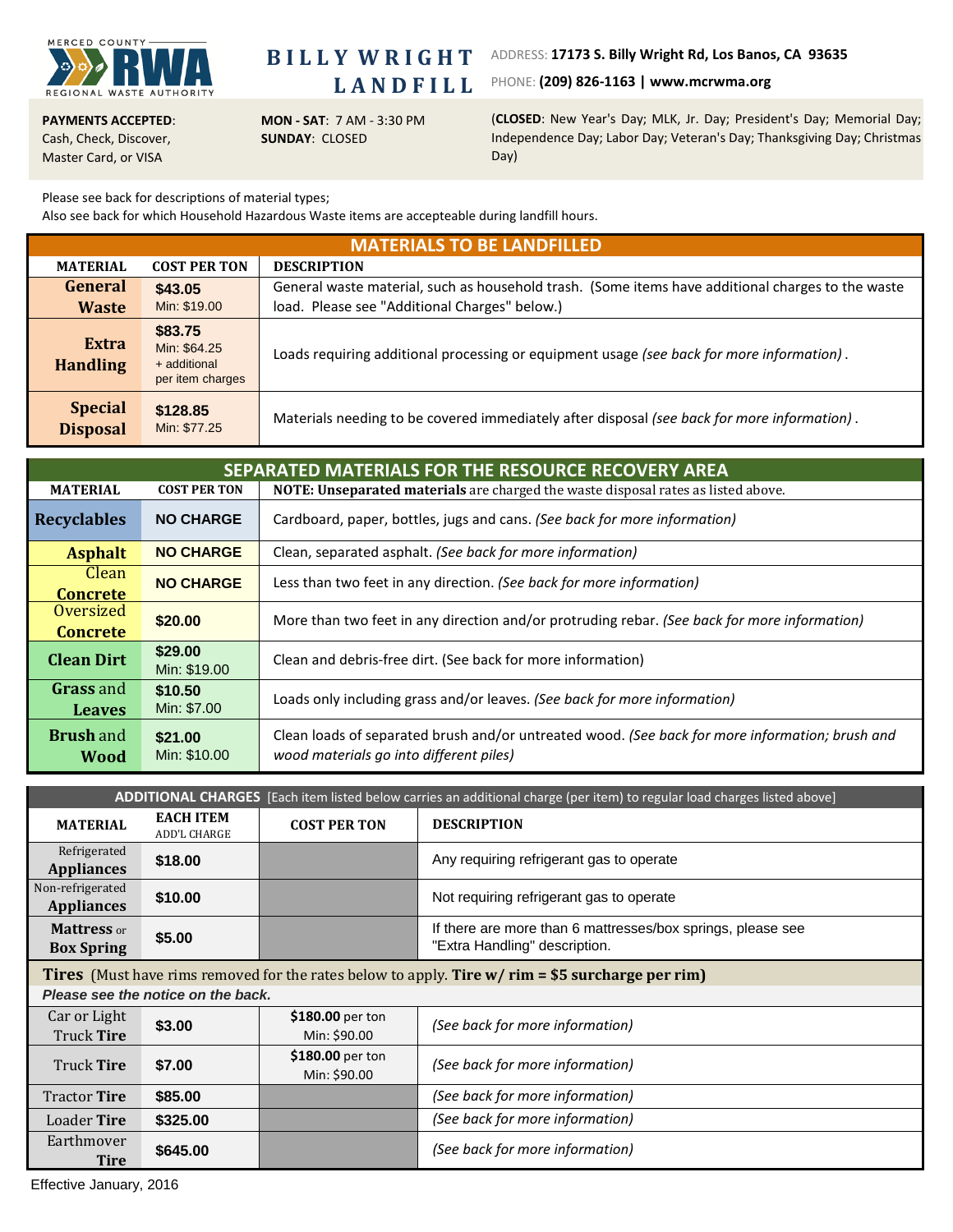

**B I L L Y W R I G H T L A N D F I L L**

ADDRESS: **17173 S. Billy Wright Rd, Los Banos, CA 93635**

PHONE: **(209) 826‐1163 | www.mcrwma.org**

**PAYMENTS ACCEPTED**: Cash, Check, Discover, Master Card, or VISA

**MON ‐ SAT**: 7 AM ‐ 3:30 PM **SUNDAY**: CLOSED

(**CLOSED**: New Year's Day; MLK, Jr. Day; President's Day; Memorial Day; Independence Day; Labor Day; Veteran's Day; Thanksgiving Day; Christmas Day)

Please see back for descriptions of material types;

Also see back for which Household Hazardous Waste items are accepteable during landfill hours.

| <b>MATERIALS TO BE LANDFILLED</b> |                                                             |                                                                                                   |  |  |  |
|-----------------------------------|-------------------------------------------------------------|---------------------------------------------------------------------------------------------------|--|--|--|
| <b>MATERIAL</b>                   | <b>COST PER TON</b>                                         | <b>DESCRIPTION</b>                                                                                |  |  |  |
| General                           | \$43.05                                                     | General waste material, such as household trash. (Some items have additional charges to the waste |  |  |  |
| <b>Waste</b>                      | Min: \$19.00                                                | load. Please see "Additional Charges" below.)                                                     |  |  |  |
| <b>Extra</b><br><b>Handling</b>   | \$83.75<br>Min: \$64.25<br>+ additional<br>per item charges | Loads requiring additional processing or equipment usage (see back for more information).         |  |  |  |
| <b>Special</b><br><b>Disposal</b> | \$128.85<br>Min: \$77.25                                    | Materials needing to be covered immediately after disposal (see back for more information).       |  |  |  |

| SEPARATED MATERIALS FOR THE RESOURCE RECOVERY AREA |                         |                                                                                                                                            |  |  |
|----------------------------------------------------|-------------------------|--------------------------------------------------------------------------------------------------------------------------------------------|--|--|
| <b>MATERIAL</b>                                    | <b>COST PER TON</b>     | NOTE: Unseparated materials are charged the waste disposal rates as listed above.                                                          |  |  |
| <b>Recyclables</b>                                 | <b>NO CHARGE</b>        | Cardboard, paper, bottles, jugs and cans. (See back for more information)                                                                  |  |  |
| <b>Asphalt</b>                                     | <b>NO CHARGE</b>        | Clean, separated asphalt. (See back for more information)                                                                                  |  |  |
| Clean<br><b>Concrete</b>                           | <b>NO CHARGE</b>        | Less than two feet in any direction. (See back for more information)                                                                       |  |  |
| Oversized<br><b>Concrete</b>                       | \$20,00                 | More than two feet in any direction and/or protruding rebar. (See back for more information)                                               |  |  |
| <b>Clean Dirt</b>                                  | \$29,00<br>Min: \$19.00 | Clean and debris-free dirt. (See back for more information)                                                                                |  |  |
| <b>Grass</b> and<br><b>Leaves</b>                  | \$10.50<br>Min: \$7.00  | Loads only including grass and/or leaves. (See back for more information)                                                                  |  |  |
| <b>Brush</b> and<br><b>Wood</b>                    | \$21.00<br>Min: \$10.00 | Clean loads of separated brush and/or untreated wood. (See back for more information; brush and<br>wood materials go into different piles) |  |  |

| ADDITIONAL CHARGES [Each item listed below carries an additional charge (per item) to regular load charges listed above] |                                         |                                  |                                                                                              |  |
|--------------------------------------------------------------------------------------------------------------------------|-----------------------------------------|----------------------------------|----------------------------------------------------------------------------------------------|--|
| <b>MATERIAL</b>                                                                                                          | <b>EACH ITEM</b><br><b>ADD'L CHARGE</b> | <b>COST PER TON</b>              | <b>DESCRIPTION</b>                                                                           |  |
| Refrigerated<br><b>Appliances</b>                                                                                        | \$18.00                                 |                                  | Any requiring refrigerant gas to operate                                                     |  |
| Non-refrigerated<br><b>Appliances</b>                                                                                    | \$10.00                                 |                                  | Not requiring refrigerant gas to operate                                                     |  |
| <b>Mattress</b> or<br><b>Box Spring</b>                                                                                  | \$5.00                                  |                                  | If there are more than 6 mattresses/box springs, please see<br>"Extra Handling" description. |  |
| <b>Tires</b> (Must have rims removed for the rates below to apply. <b>Tire w/ rim = \$5 surcharge per rim)</b>           |                                         |                                  |                                                                                              |  |
| Please see the notice on the back.                                                                                       |                                         |                                  |                                                                                              |  |
| Car or Light<br>Truck Tire                                                                                               | \$3.00                                  | \$180.00 per ton<br>Min: \$90.00 | (See back for more information)                                                              |  |
| Truck Tire                                                                                                               | \$7.00                                  | \$180.00 per ton<br>Min: \$90.00 | (See back for more information)                                                              |  |
| <b>Tractor Tire</b>                                                                                                      | \$85.00                                 |                                  | (See back for more information)                                                              |  |
| Loader <b>Tire</b>                                                                                                       | \$325,00                                |                                  | (See back for more information)                                                              |  |
| Earthmover<br><b>Tire</b>                                                                                                | \$645.00                                |                                  | (See back for more information)                                                              |  |

Effective January, 2016